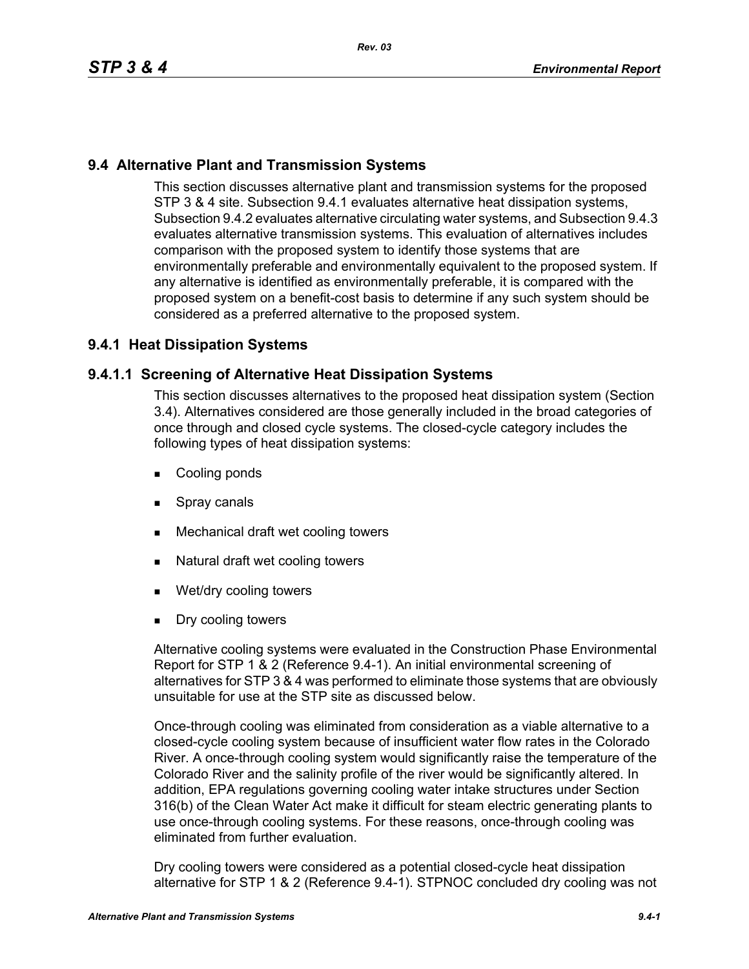# **9.4 Alternative Plant and Transmission Systems**

This section discusses alternative plant and transmission systems for the proposed STP 3 & 4 site. Subsection 9.4.1 evaluates alternative heat dissipation systems, Subsection 9.4.2 evaluates alternative circulating water systems, and Subsection 9.4.3 evaluates alternative transmission systems. This evaluation of alternatives includes comparison with the proposed system to identify those systems that are environmentally preferable and environmentally equivalent to the proposed system. If any alternative is identified as environmentally preferable, it is compared with the proposed system on a benefit-cost basis to determine if any such system should be considered as a preferred alternative to the proposed system.

# **9.4.1 Heat Dissipation Systems**

#### **9.4.1.1 Screening of Alternative Heat Dissipation Systems**

This section discusses alternatives to the proposed heat dissipation system (Section 3.4). Alternatives considered are those generally included in the broad categories of once through and closed cycle systems. The closed-cycle category includes the following types of heat dissipation systems:

- Cooling ponds
- **Spray canals**
- **Mechanical draft wet cooling towers**
- Natural draft wet cooling towers
- Wet/dry cooling towers
- Dry cooling towers

Alternative cooling systems were evaluated in the Construction Phase Environmental Report for STP 1 & 2 (Reference 9.4-1). An initial environmental screening of alternatives for STP 3 & 4 was performed to eliminate those systems that are obviously unsuitable for use at the STP site as discussed below.

Once-through cooling was eliminated from consideration as a viable alternative to a closed-cycle cooling system because of insufficient water flow rates in the Colorado River. A once-through cooling system would significantly raise the temperature of the Colorado River and the salinity profile of the river would be significantly altered. In addition, EPA regulations governing cooling water intake structures under Section 316(b) of the Clean Water Act make it difficult for steam electric generating plants to use once-through cooling systems. For these reasons, once-through cooling was eliminated from further evaluation.

Dry cooling towers were considered as a potential closed-cycle heat dissipation alternative for STP 1 & 2 (Reference 9.4-1). STPNOC concluded dry cooling was not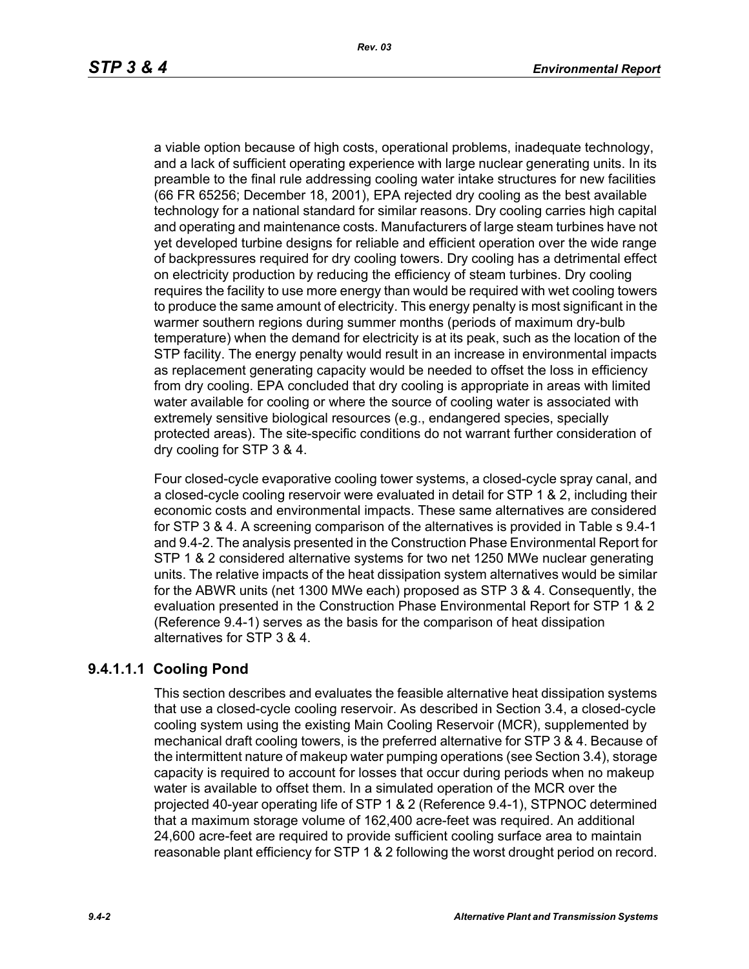a viable option because of high costs, operational problems, inadequate technology, and a lack of sufficient operating experience with large nuclear generating units. In its preamble to the final rule addressing cooling water intake structures for new facilities (66 FR 65256; December 18, 2001), EPA rejected dry cooling as the best available technology for a national standard for similar reasons. Dry cooling carries high capital and operating and maintenance costs. Manufacturers of large steam turbines have not yet developed turbine designs for reliable and efficient operation over the wide range of backpressures required for dry cooling towers. Dry cooling has a detrimental effect on electricity production by reducing the efficiency of steam turbines. Dry cooling requires the facility to use more energy than would be required with wet cooling towers to produce the same amount of electricity. This energy penalty is most significant in the warmer southern regions during summer months (periods of maximum dry-bulb temperature) when the demand for electricity is at its peak, such as the location of the STP facility. The energy penalty would result in an increase in environmental impacts as replacement generating capacity would be needed to offset the loss in efficiency from dry cooling. EPA concluded that dry cooling is appropriate in areas with limited water available for cooling or where the source of cooling water is associated with extremely sensitive biological resources (e.g., endangered species, specially protected areas). The site-specific conditions do not warrant further consideration of dry cooling for STP 3 & 4.

Four closed-cycle evaporative cooling tower systems, a closed-cycle spray canal, and a closed-cycle cooling reservoir were evaluated in detail for STP 1 & 2, including their economic costs and environmental impacts. These same alternatives are considered for STP 3 & 4. A screening comparison of the alternatives is provided in Table s 9.4-1 and 9.4-2. The analysis presented in the Construction Phase Environmental Report for STP 1 & 2 considered alternative systems for two net 1250 MWe nuclear generating units. The relative impacts of the heat dissipation system alternatives would be similar for the ABWR units (net 1300 MWe each) proposed as STP 3 & 4. Consequently, the evaluation presented in the Construction Phase Environmental Report for STP 1 & 2 (Reference 9.4-1) serves as the basis for the comparison of heat dissipation alternatives for STP 3 & 4.

# **9.4.1.1.1 Cooling Pond**

This section describes and evaluates the feasible alternative heat dissipation systems that use a closed-cycle cooling reservoir. As described in Section 3.4, a closed-cycle cooling system using the existing Main Cooling Reservoir (MCR), supplemented by mechanical draft cooling towers, is the preferred alternative for STP 3 & 4. Because of the intermittent nature of makeup water pumping operations (see Section 3.4), storage capacity is required to account for losses that occur during periods when no makeup water is available to offset them. In a simulated operation of the MCR over the projected 40-year operating life of STP 1 & 2 (Reference 9.4-1), STPNOC determined that a maximum storage volume of 162,400 acre-feet was required. An additional 24,600 acre-feet are required to provide sufficient cooling surface area to maintain reasonable plant efficiency for STP 1 & 2 following the worst drought period on record.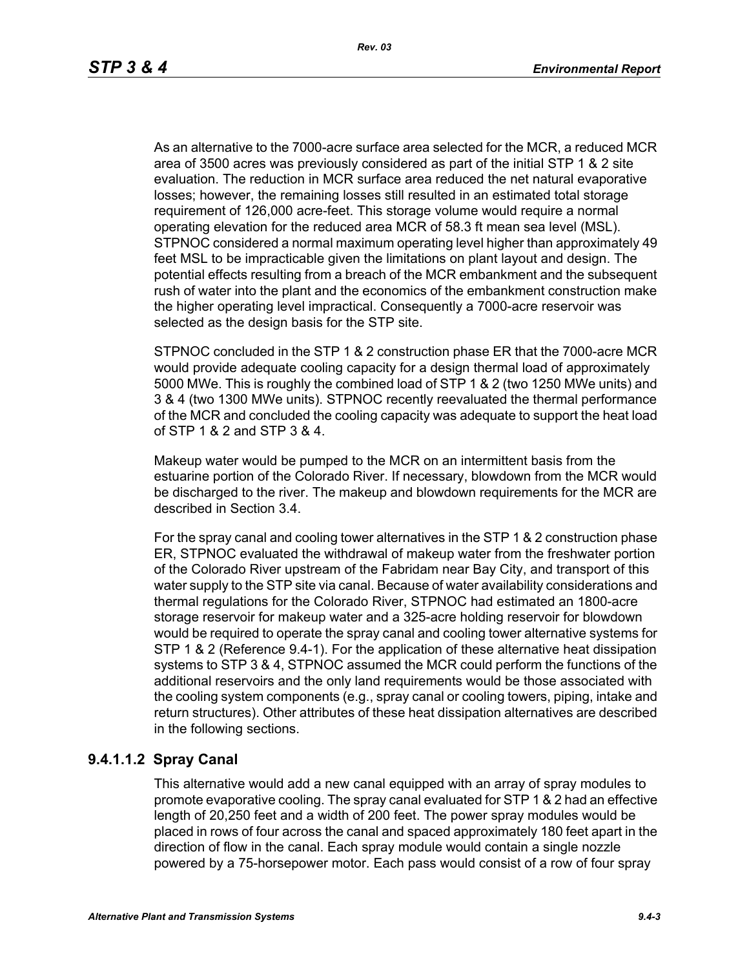As an alternative to the 7000-acre surface area selected for the MCR, a reduced MCR area of 3500 acres was previously considered as part of the initial STP 1 & 2 site evaluation. The reduction in MCR surface area reduced the net natural evaporative losses; however, the remaining losses still resulted in an estimated total storage requirement of 126,000 acre-feet. This storage volume would require a normal operating elevation for the reduced area MCR of 58.3 ft mean sea level (MSL). STPNOC considered a normal maximum operating level higher than approximately 49 feet MSL to be impracticable given the limitations on plant layout and design. The potential effects resulting from a breach of the MCR embankment and the subsequent rush of water into the plant and the economics of the embankment construction make the higher operating level impractical. Consequently a 7000-acre reservoir was selected as the design basis for the STP site.

STPNOC concluded in the STP 1 & 2 construction phase ER that the 7000-acre MCR would provide adequate cooling capacity for a design thermal load of approximately 5000 MWe. This is roughly the combined load of STP 1 & 2 (two 1250 MWe units) and 3 & 4 (two 1300 MWe units). STPNOC recently reevaluated the thermal performance of the MCR and concluded the cooling capacity was adequate to support the heat load of STP 1 & 2 and STP 3 & 4.

Makeup water would be pumped to the MCR on an intermittent basis from the estuarine portion of the Colorado River. If necessary, blowdown from the MCR would be discharged to the river. The makeup and blowdown requirements for the MCR are described in Section 3.4.

For the spray canal and cooling tower alternatives in the STP 1 & 2 construction phase ER, STPNOC evaluated the withdrawal of makeup water from the freshwater portion of the Colorado River upstream of the Fabridam near Bay City, and transport of this water supply to the STP site via canal. Because of water availability considerations and thermal regulations for the Colorado River, STPNOC had estimated an 1800-acre storage reservoir for makeup water and a 325-acre holding reservoir for blowdown would be required to operate the spray canal and cooling tower alternative systems for STP 1 & 2 (Reference 9.4-1). For the application of these alternative heat dissipation systems to STP 3 & 4, STPNOC assumed the MCR could perform the functions of the additional reservoirs and the only land requirements would be those associated with the cooling system components (e.g., spray canal or cooling towers, piping, intake and return structures). Other attributes of these heat dissipation alternatives are described in the following sections.

# **9.4.1.1.2 Spray Canal**

This alternative would add a new canal equipped with an array of spray modules to promote evaporative cooling. The spray canal evaluated for STP 1 & 2 had an effective length of 20,250 feet and a width of 200 feet. The power spray modules would be placed in rows of four across the canal and spaced approximately 180 feet apart in the direction of flow in the canal. Each spray module would contain a single nozzle powered by a 75-horsepower motor. Each pass would consist of a row of four spray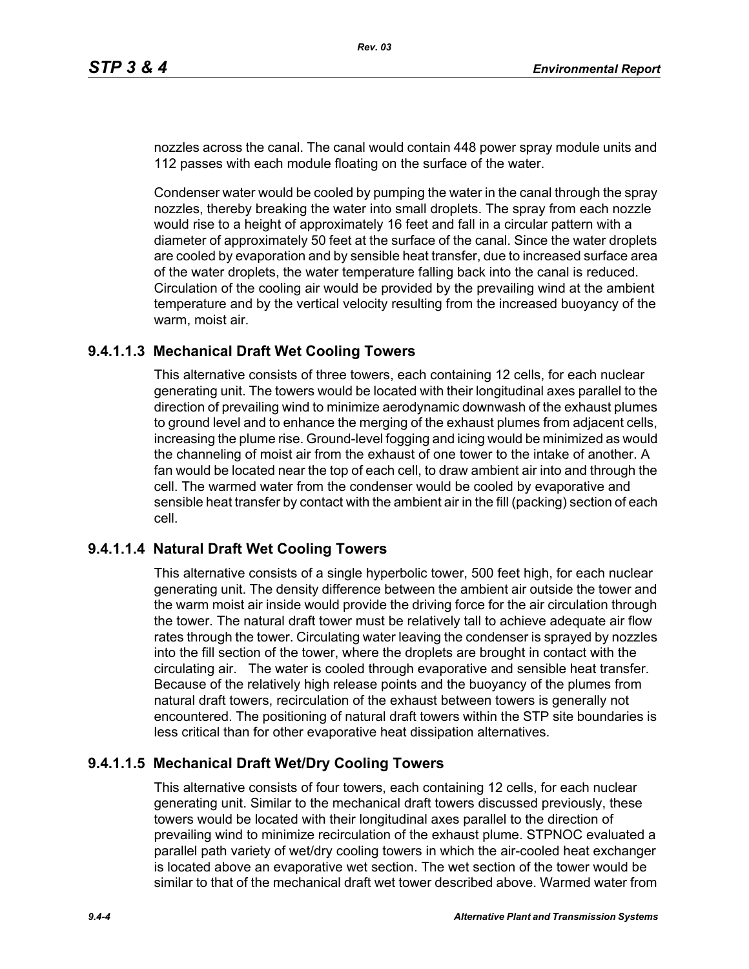nozzles across the canal. The canal would contain 448 power spray module units and 112 passes with each module floating on the surface of the water.

Condenser water would be cooled by pumping the water in the canal through the spray nozzles, thereby breaking the water into small droplets. The spray from each nozzle would rise to a height of approximately 16 feet and fall in a circular pattern with a diameter of approximately 50 feet at the surface of the canal. Since the water droplets are cooled by evaporation and by sensible heat transfer, due to increased surface area of the water droplets, the water temperature falling back into the canal is reduced. Circulation of the cooling air would be provided by the prevailing wind at the ambient temperature and by the vertical velocity resulting from the increased buoyancy of the warm, moist air.

#### **9.4.1.1.3 Mechanical Draft Wet Cooling Towers**

This alternative consists of three towers, each containing 12 cells, for each nuclear generating unit. The towers would be located with their longitudinal axes parallel to the direction of prevailing wind to minimize aerodynamic downwash of the exhaust plumes to ground level and to enhance the merging of the exhaust plumes from adjacent cells, increasing the plume rise. Ground-level fogging and icing would be minimized as would the channeling of moist air from the exhaust of one tower to the intake of another. A fan would be located near the top of each cell, to draw ambient air into and through the cell. The warmed water from the condenser would be cooled by evaporative and sensible heat transfer by contact with the ambient air in the fill (packing) section of each cell.

# **9.4.1.1.4 Natural Draft Wet Cooling Towers**

This alternative consists of a single hyperbolic tower, 500 feet high, for each nuclear generating unit. The density difference between the ambient air outside the tower and the warm moist air inside would provide the driving force for the air circulation through the tower. The natural draft tower must be relatively tall to achieve adequate air flow rates through the tower. Circulating water leaving the condenser is sprayed by nozzles into the fill section of the tower, where the droplets are brought in contact with the circulating air. The water is cooled through evaporative and sensible heat transfer. Because of the relatively high release points and the buoyancy of the plumes from natural draft towers, recirculation of the exhaust between towers is generally not encountered. The positioning of natural draft towers within the STP site boundaries is less critical than for other evaporative heat dissipation alternatives.

# **9.4.1.1.5 Mechanical Draft Wet/Dry Cooling Towers**

This alternative consists of four towers, each containing 12 cells, for each nuclear generating unit. Similar to the mechanical draft towers discussed previously, these towers would be located with their longitudinal axes parallel to the direction of prevailing wind to minimize recirculation of the exhaust plume. STPNOC evaluated a parallel path variety of wet/dry cooling towers in which the air-cooled heat exchanger is located above an evaporative wet section. The wet section of the tower would be similar to that of the mechanical draft wet tower described above. Warmed water from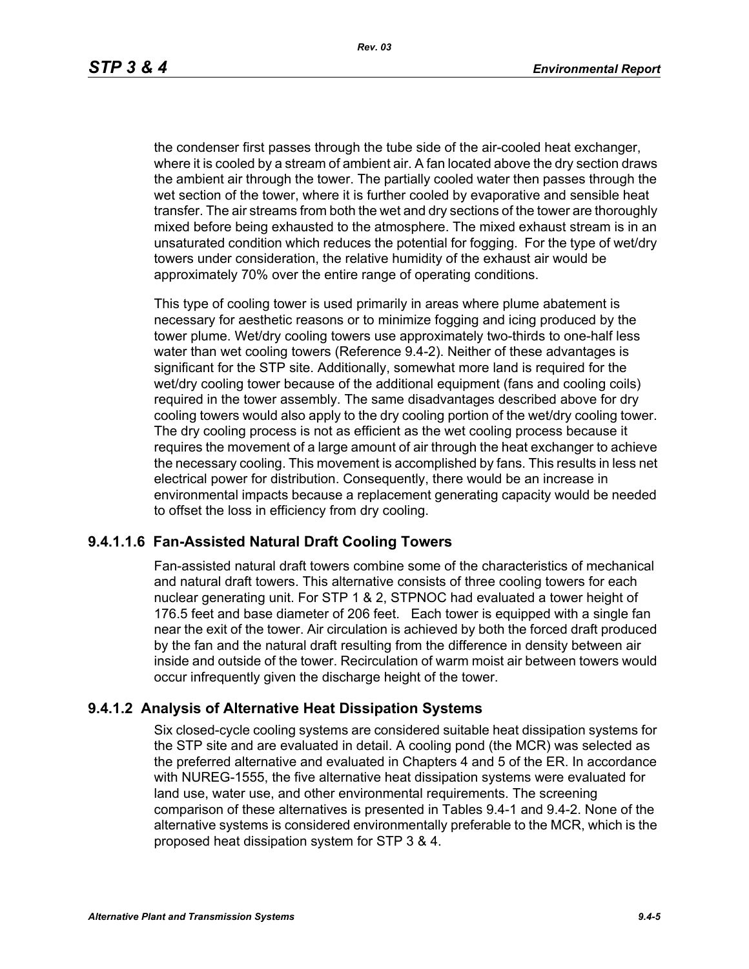the condenser first passes through the tube side of the air-cooled heat exchanger, where it is cooled by a stream of ambient air. A fan located above the dry section draws the ambient air through the tower. The partially cooled water then passes through the wet section of the tower, where it is further cooled by evaporative and sensible heat transfer. The air streams from both the wet and dry sections of the tower are thoroughly mixed before being exhausted to the atmosphere. The mixed exhaust stream is in an unsaturated condition which reduces the potential for fogging. For the type of wet/dry towers under consideration, the relative humidity of the exhaust air would be approximately 70% over the entire range of operating conditions.

This type of cooling tower is used primarily in areas where plume abatement is necessary for aesthetic reasons or to minimize fogging and icing produced by the tower plume. Wet/dry cooling towers use approximately two-thirds to one-half less water than wet cooling towers (Reference 9.4-2). Neither of these advantages is significant for the STP site. Additionally, somewhat more land is required for the wet/dry cooling tower because of the additional equipment (fans and cooling coils) required in the tower assembly. The same disadvantages described above for dry cooling towers would also apply to the dry cooling portion of the wet/dry cooling tower. The dry cooling process is not as efficient as the wet cooling process because it requires the movement of a large amount of air through the heat exchanger to achieve the necessary cooling. This movement is accomplished by fans. This results in less net electrical power for distribution. Consequently, there would be an increase in environmental impacts because a replacement generating capacity would be needed to offset the loss in efficiency from dry cooling.

#### **9.4.1.1.6 Fan-Assisted Natural Draft Cooling Towers**

Fan-assisted natural draft towers combine some of the characteristics of mechanical and natural draft towers. This alternative consists of three cooling towers for each nuclear generating unit. For STP 1 & 2, STPNOC had evaluated a tower height of 176.5 feet and base diameter of 206 feet. Each tower is equipped with a single fan near the exit of the tower. Air circulation is achieved by both the forced draft produced by the fan and the natural draft resulting from the difference in density between air inside and outside of the tower. Recirculation of warm moist air between towers would occur infrequently given the discharge height of the tower.

#### **9.4.1.2 Analysis of Alternative Heat Dissipation Systems**

Six closed-cycle cooling systems are considered suitable heat dissipation systems for the STP site and are evaluated in detail. A cooling pond (the MCR) was selected as the preferred alternative and evaluated in Chapters 4 and 5 of the ER. In accordance with NUREG-1555, the five alternative heat dissipation systems were evaluated for land use, water use, and other environmental requirements. The screening comparison of these alternatives is presented in Tables 9.4-1 and 9.4-2. None of the alternative systems is considered environmentally preferable to the MCR, which is the proposed heat dissipation system for STP 3 & 4.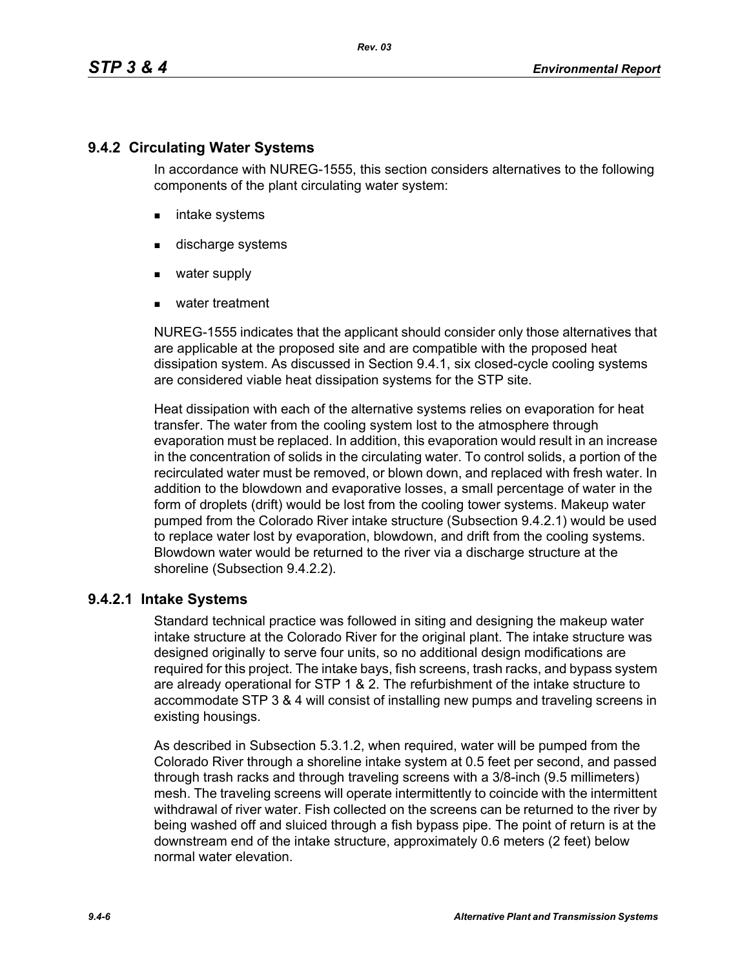# **9.4.2 Circulating Water Systems**

In accordance with NUREG-1555, this section considers alternatives to the following components of the plant circulating water system:

- **n** intake systems
- **discharge systems**
- water supply
- water treatment

NUREG-1555 indicates that the applicant should consider only those alternatives that are applicable at the proposed site and are compatible with the proposed heat dissipation system. As discussed in Section 9.4.1, six closed-cycle cooling systems are considered viable heat dissipation systems for the STP site.

Heat dissipation with each of the alternative systems relies on evaporation for heat transfer. The water from the cooling system lost to the atmosphere through evaporation must be replaced. In addition, this evaporation would result in an increase in the concentration of solids in the circulating water. To control solids, a portion of the recirculated water must be removed, or blown down, and replaced with fresh water. In addition to the blowdown and evaporative losses, a small percentage of water in the form of droplets (drift) would be lost from the cooling tower systems. Makeup water pumped from the Colorado River intake structure (Subsection 9.4.2.1) would be used to replace water lost by evaporation, blowdown, and drift from the cooling systems. Blowdown water would be returned to the river via a discharge structure at the shoreline (Subsection 9.4.2.2).

# **9.4.2.1 Intake Systems**

Standard technical practice was followed in siting and designing the makeup water intake structure at the Colorado River for the original plant. The intake structure was designed originally to serve four units, so no additional design modifications are required for this project. The intake bays, fish screens, trash racks, and bypass system are already operational for STP 1 & 2. The refurbishment of the intake structure to accommodate STP 3 & 4 will consist of installing new pumps and traveling screens in existing housings.

As described in Subsection 5.3.1.2, when required, water will be pumped from the Colorado River through a shoreline intake system at 0.5 feet per second, and passed through trash racks and through traveling screens with a 3/8-inch (9.5 millimeters) mesh. The traveling screens will operate intermittently to coincide with the intermittent withdrawal of river water. Fish collected on the screens can be returned to the river by being washed off and sluiced through a fish bypass pipe. The point of return is at the downstream end of the intake structure, approximately 0.6 meters (2 feet) below normal water elevation.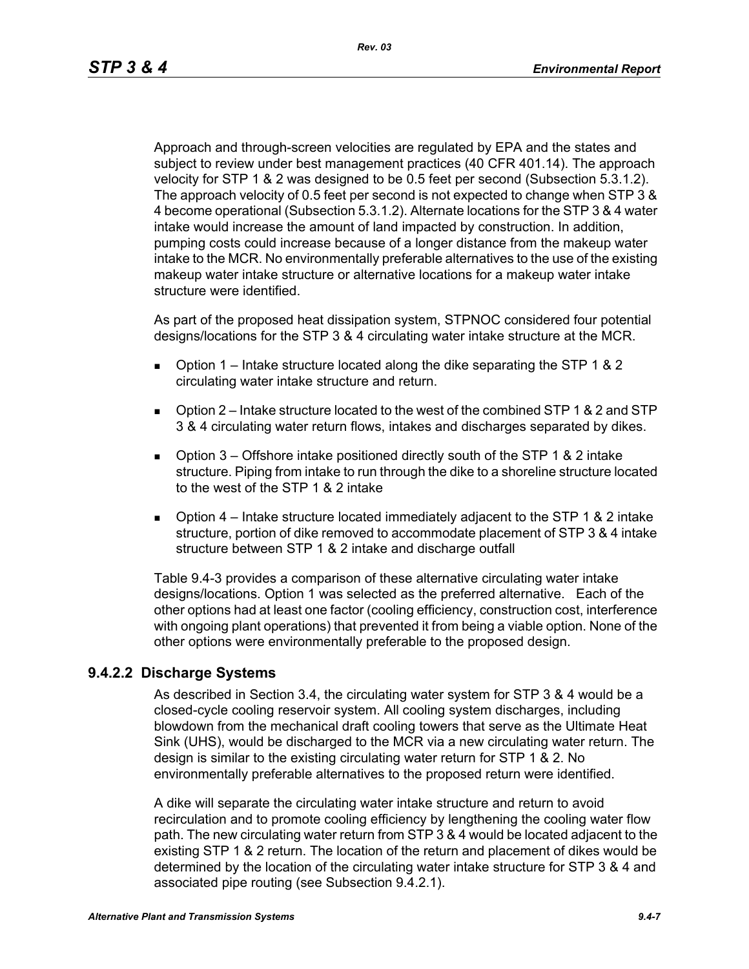Approach and through-screen velocities are regulated by EPA and the states and subject to review under best management practices (40 CFR 401.14). The approach velocity for STP 1 & 2 was designed to be 0.5 feet per second (Subsection 5.3.1.2). The approach velocity of 0.5 feet per second is not expected to change when STP 3 & 4 become operational (Subsection 5.3.1.2). Alternate locations for the STP 3 & 4 water intake would increase the amount of land impacted by construction. In addition, pumping costs could increase because of a longer distance from the makeup water intake to the MCR. No environmentally preferable alternatives to the use of the existing makeup water intake structure or alternative locations for a makeup water intake structure were identified.

As part of the proposed heat dissipation system, STPNOC considered four potential designs/locations for the STP 3 & 4 circulating water intake structure at the MCR.

- **D** Option 1 Intake structure located along the dike separating the STP 1 & 2 circulating water intake structure and return.
- Option 2 Intake structure located to the west of the combined STP 1 & 2 and STP 3 & 4 circulating water return flows, intakes and discharges separated by dikes.
- **D** Option 3 Offshore intake positioned directly south of the STP 1 & 2 intake structure. Piping from intake to run through the dike to a shoreline structure located to the west of the STP 1 & 2 intake
- **D** Option  $4$  Intake structure located immediately adjacent to the STP 1 & 2 intake structure, portion of dike removed to accommodate placement of STP 3 & 4 intake structure between STP 1 & 2 intake and discharge outfall

Table 9.4-3 provides a comparison of these alternative circulating water intake designs/locations. Option 1 was selected as the preferred alternative. Each of the other options had at least one factor (cooling efficiency, construction cost, interference with ongoing plant operations) that prevented it from being a viable option. None of the other options were environmentally preferable to the proposed design.

# **9.4.2.2 Discharge Systems**

As described in Section 3.4, the circulating water system for STP 3 & 4 would be a closed-cycle cooling reservoir system. All cooling system discharges, including blowdown from the mechanical draft cooling towers that serve as the Ultimate Heat Sink (UHS), would be discharged to the MCR via a new circulating water return. The design is similar to the existing circulating water return for STP 1 & 2. No environmentally preferable alternatives to the proposed return were identified.

A dike will separate the circulating water intake structure and return to avoid recirculation and to promote cooling efficiency by lengthening the cooling water flow path. The new circulating water return from STP 3 & 4 would be located adjacent to the existing STP 1 & 2 return. The location of the return and placement of dikes would be determined by the location of the circulating water intake structure for STP 3 & 4 and associated pipe routing (see Subsection 9.4.2.1).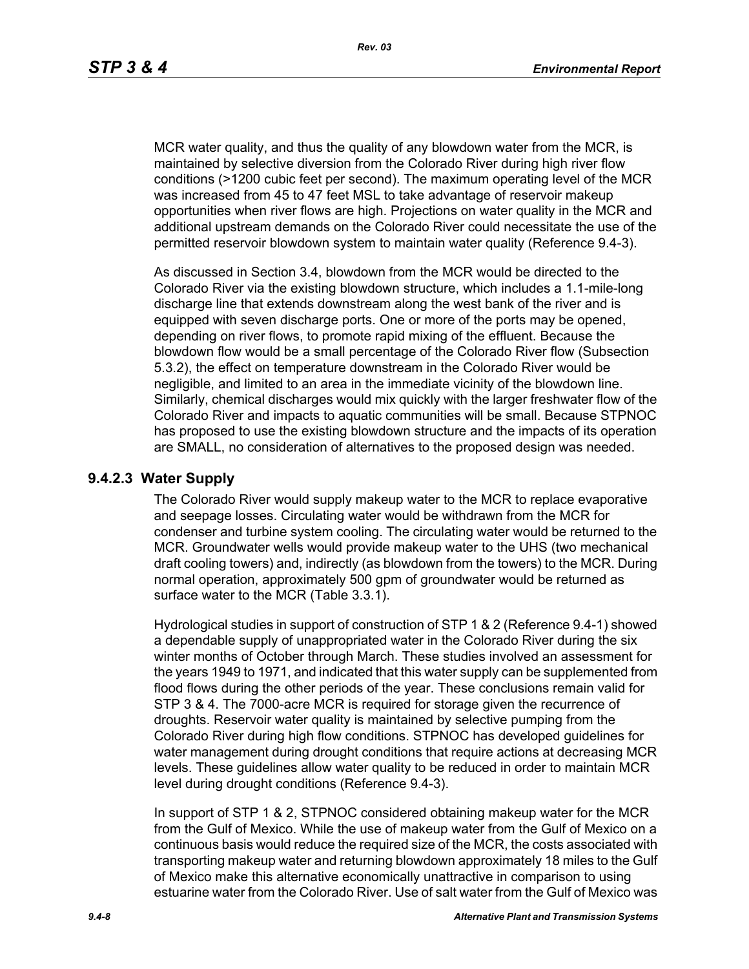MCR water quality, and thus the quality of any blowdown water from the MCR, is maintained by selective diversion from the Colorado River during high river flow conditions (>1200 cubic feet per second). The maximum operating level of the MCR was increased from 45 to 47 feet MSL to take advantage of reservoir makeup opportunities when river flows are high. Projections on water quality in the MCR and additional upstream demands on the Colorado River could necessitate the use of the permitted reservoir blowdown system to maintain water quality (Reference 9.4-3).

As discussed in Section 3.4, blowdown from the MCR would be directed to the Colorado River via the existing blowdown structure, which includes a 1.1-mile-long discharge line that extends downstream along the west bank of the river and is equipped with seven discharge ports. One or more of the ports may be opened, depending on river flows, to promote rapid mixing of the effluent. Because the blowdown flow would be a small percentage of the Colorado River flow (Subsection 5.3.2), the effect on temperature downstream in the Colorado River would be negligible, and limited to an area in the immediate vicinity of the blowdown line. Similarly, chemical discharges would mix quickly with the larger freshwater flow of the Colorado River and impacts to aquatic communities will be small. Because STPNOC has proposed to use the existing blowdown structure and the impacts of its operation are SMALL, no consideration of alternatives to the proposed design was needed.

#### **9.4.2.3 Water Supply**

The Colorado River would supply makeup water to the MCR to replace evaporative and seepage losses. Circulating water would be withdrawn from the MCR for condenser and turbine system cooling. The circulating water would be returned to the MCR. Groundwater wells would provide makeup water to the UHS (two mechanical draft cooling towers) and, indirectly (as blowdown from the towers) to the MCR. During normal operation, approximately 500 gpm of groundwater would be returned as surface water to the MCR (Table 3.3.1).

Hydrological studies in support of construction of STP 1 & 2 (Reference 9.4-1) showed a dependable supply of unappropriated water in the Colorado River during the six winter months of October through March. These studies involved an assessment for the years 1949 to 1971, and indicated that this water supply can be supplemented from flood flows during the other periods of the year. These conclusions remain valid for STP 3 & 4. The 7000-acre MCR is required for storage given the recurrence of droughts. Reservoir water quality is maintained by selective pumping from the Colorado River during high flow conditions. STPNOC has developed guidelines for water management during drought conditions that require actions at decreasing MCR levels. These guidelines allow water quality to be reduced in order to maintain MCR level during drought conditions (Reference 9.4-3).

In support of STP 1 & 2, STPNOC considered obtaining makeup water for the MCR from the Gulf of Mexico. While the use of makeup water from the Gulf of Mexico on a continuous basis would reduce the required size of the MCR, the costs associated with transporting makeup water and returning blowdown approximately 18 miles to the Gulf of Mexico make this alternative economically unattractive in comparison to using estuarine water from the Colorado River. Use of salt water from the Gulf of Mexico was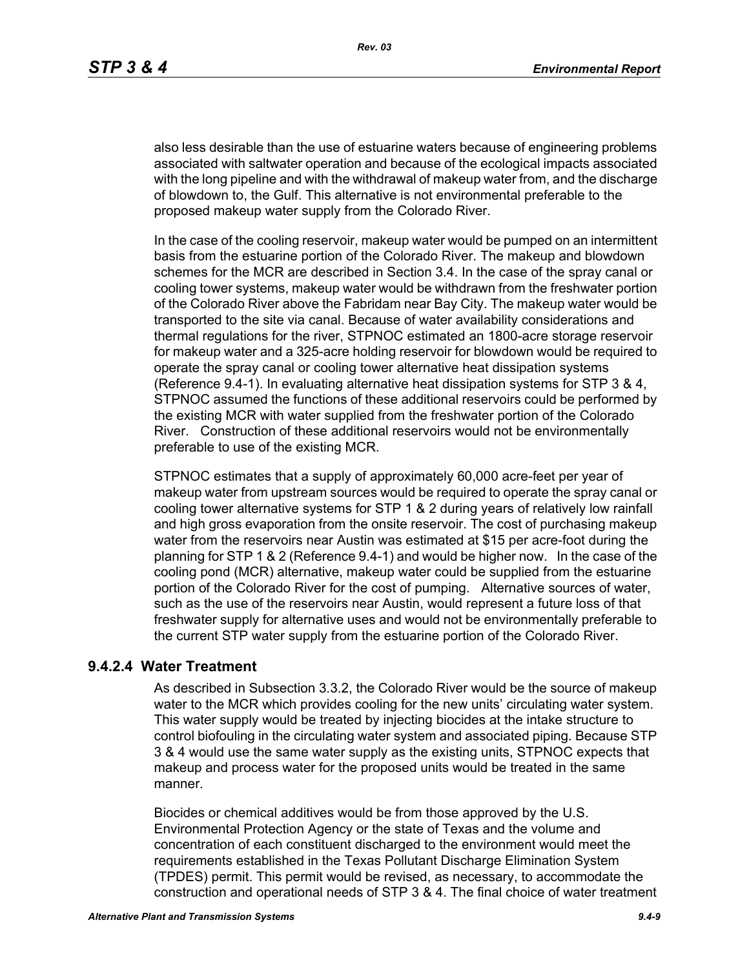also less desirable than the use of estuarine waters because of engineering problems associated with saltwater operation and because of the ecological impacts associated with the long pipeline and with the withdrawal of makeup water from, and the discharge of blowdown to, the Gulf. This alternative is not environmental preferable to the proposed makeup water supply from the Colorado River.

In the case of the cooling reservoir, makeup water would be pumped on an intermittent basis from the estuarine portion of the Colorado River. The makeup and blowdown schemes for the MCR are described in Section 3.4. In the case of the spray canal or cooling tower systems, makeup water would be withdrawn from the freshwater portion of the Colorado River above the Fabridam near Bay City. The makeup water would be transported to the site via canal. Because of water availability considerations and thermal regulations for the river, STPNOC estimated an 1800-acre storage reservoir for makeup water and a 325-acre holding reservoir for blowdown would be required to operate the spray canal or cooling tower alternative heat dissipation systems (Reference 9.4-1). In evaluating alternative heat dissipation systems for STP 3 & 4, STPNOC assumed the functions of these additional reservoirs could be performed by the existing MCR with water supplied from the freshwater portion of the Colorado River. Construction of these additional reservoirs would not be environmentally preferable to use of the existing MCR.

STPNOC estimates that a supply of approximately 60,000 acre-feet per year of makeup water from upstream sources would be required to operate the spray canal or cooling tower alternative systems for STP 1 & 2 during years of relatively low rainfall and high gross evaporation from the onsite reservoir. The cost of purchasing makeup water from the reservoirs near Austin was estimated at \$15 per acre-foot during the planning for STP 1 & 2 (Reference 9.4-1) and would be higher now. In the case of the cooling pond (MCR) alternative, makeup water could be supplied from the estuarine portion of the Colorado River for the cost of pumping. Alternative sources of water, such as the use of the reservoirs near Austin, would represent a future loss of that freshwater supply for alternative uses and would not be environmentally preferable to the current STP water supply from the estuarine portion of the Colorado River.

#### **9.4.2.4 Water Treatment**

As described in Subsection 3.3.2, the Colorado River would be the source of makeup water to the MCR which provides cooling for the new units' circulating water system. This water supply would be treated by injecting biocides at the intake structure to control biofouling in the circulating water system and associated piping. Because STP 3 & 4 would use the same water supply as the existing units, STPNOC expects that makeup and process water for the proposed units would be treated in the same manner.

Biocides or chemical additives would be from those approved by the U.S. Environmental Protection Agency or the state of Texas and the volume and concentration of each constituent discharged to the environment would meet the requirements established in the Texas Pollutant Discharge Elimination System (TPDES) permit. This permit would be revised, as necessary, to accommodate the construction and operational needs of STP 3 & 4. The final choice of water treatment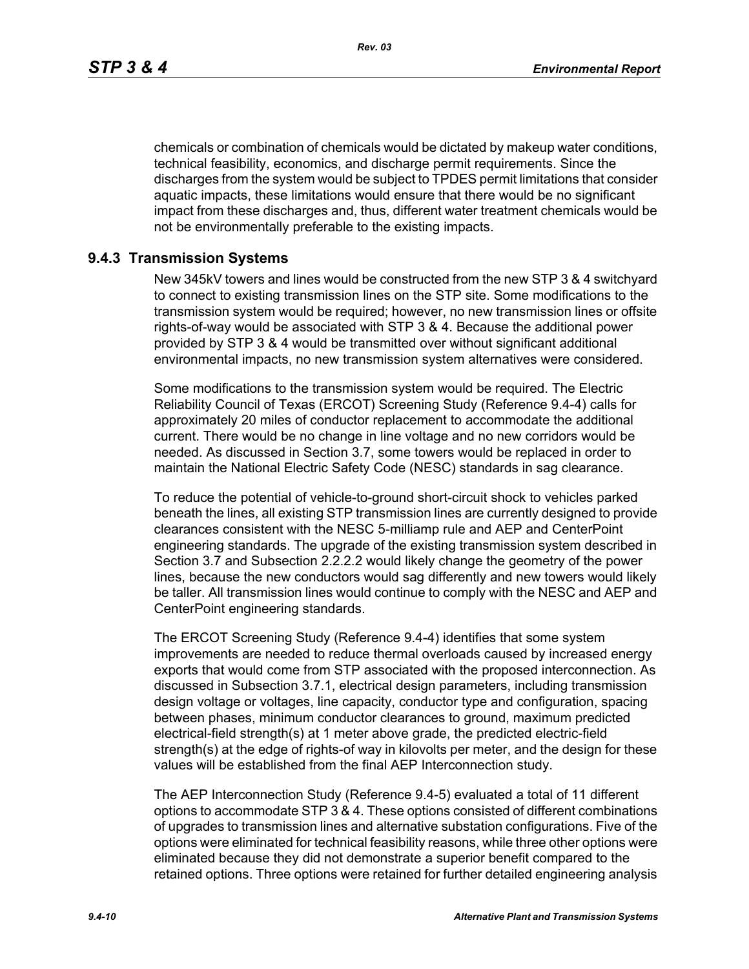chemicals or combination of chemicals would be dictated by makeup water conditions, technical feasibility, economics, and discharge permit requirements. Since the discharges from the system would be subject to TPDES permit limitations that consider aquatic impacts, these limitations would ensure that there would be no significant impact from these discharges and, thus, different water treatment chemicals would be not be environmentally preferable to the existing impacts.

#### **9.4.3 Transmission Systems**

New 345kV towers and lines would be constructed from the new STP 3 & 4 switchyard to connect to existing transmission lines on the STP site. Some modifications to the transmission system would be required; however, no new transmission lines or offsite rights-of-way would be associated with STP 3 & 4. Because the additional power provided by STP 3 & 4 would be transmitted over without significant additional environmental impacts, no new transmission system alternatives were considered.

Some modifications to the transmission system would be required. The Electric Reliability Council of Texas (ERCOT) Screening Study (Reference 9.4-4) calls for approximately 20 miles of conductor replacement to accommodate the additional current. There would be no change in line voltage and no new corridors would be needed. As discussed in Section 3.7, some towers would be replaced in order to maintain the National Electric Safety Code (NESC) standards in sag clearance.

To reduce the potential of vehicle-to-ground short-circuit shock to vehicles parked beneath the lines, all existing STP transmission lines are currently designed to provide clearances consistent with the NESC 5-milliamp rule and AEP and CenterPoint engineering standards. The upgrade of the existing transmission system described in Section 3.7 and Subsection 2.2.2.2 would likely change the geometry of the power lines, because the new conductors would sag differently and new towers would likely be taller. All transmission lines would continue to comply with the NESC and AEP and CenterPoint engineering standards.

The ERCOT Screening Study (Reference 9.4-4) identifies that some system improvements are needed to reduce thermal overloads caused by increased energy exports that would come from STP associated with the proposed interconnection. As discussed in Subsection 3.7.1, electrical design parameters, including transmission design voltage or voltages, line capacity, conductor type and configuration, spacing between phases, minimum conductor clearances to ground, maximum predicted electrical-field strength(s) at 1 meter above grade, the predicted electric-field strength(s) at the edge of rights-of way in kilovolts per meter, and the design for these values will be established from the final AEP Interconnection study.

The AEP Interconnection Study (Reference 9.4-5) evaluated a total of 11 different options to accommodate STP 3 & 4. These options consisted of different combinations of upgrades to transmission lines and alternative substation configurations. Five of the options were eliminated for technical feasibility reasons, while three other options were eliminated because they did not demonstrate a superior benefit compared to the retained options. Three options were retained for further detailed engineering analysis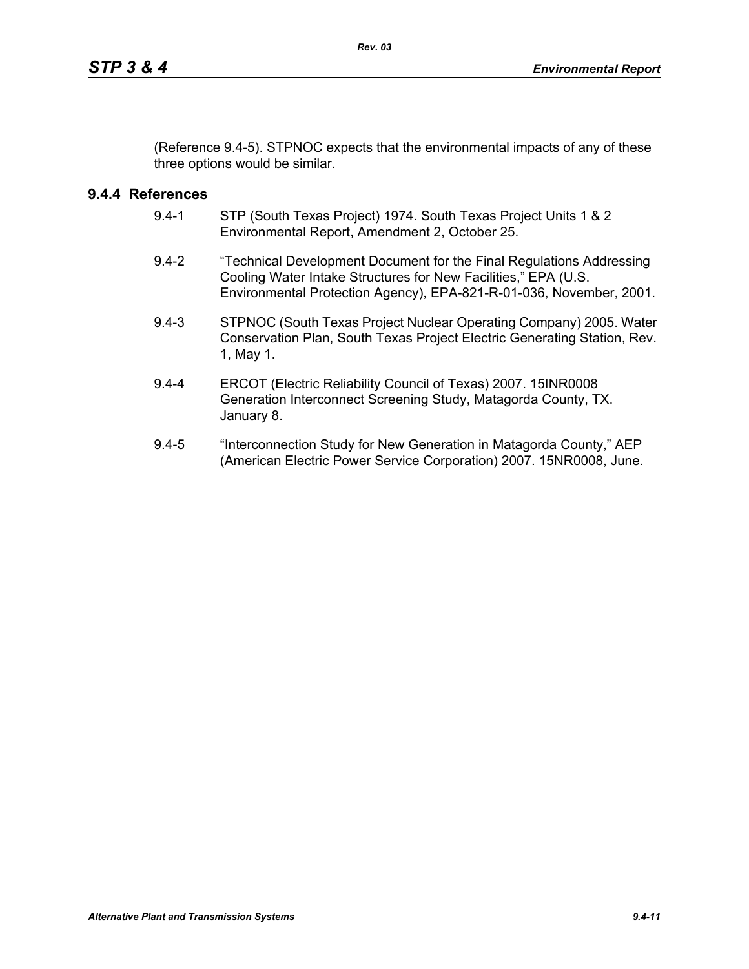(Reference 9.4-5). STPNOC expects that the environmental impacts of any of these three options would be similar.

# **9.4.4 References**

- 9.4-1 STP (South Texas Project) 1974. South Texas Project Units 1 & 2 Environmental Report, Amendment 2, October 25.
- 9.4-2 "Technical Development Document for the Final Regulations Addressing Cooling Water Intake Structures for New Facilities," EPA (U.S. Environmental Protection Agency), EPA-821-R-01-036, November, 2001.
- 9.4-3 STPNOC (South Texas Project Nuclear Operating Company) 2005. Water Conservation Plan, South Texas Project Electric Generating Station, Rev. 1, May 1.
- 9.4-4 ERCOT (Electric Reliability Council of Texas) 2007. 15INR0008 Generation Interconnect Screening Study, Matagorda County, TX. January 8.
- 9.4-5 "Interconnection Study for New Generation in Matagorda County," AEP (American Electric Power Service Corporation) 2007. 15NR0008, June.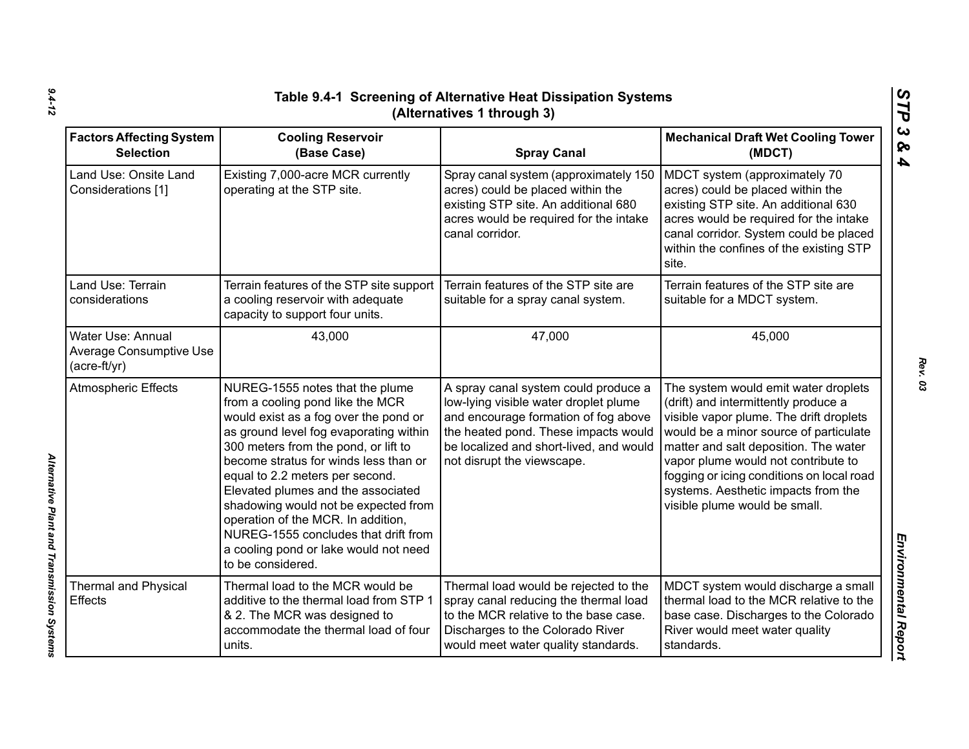| <b>Factors Affecting System</b><br><b>Selection</b>                 | <b>Cooling Reservoir</b><br>(Base Case)                                                                                                                                                                                                                                                                                                                                                                                                                                                              | <b>Spray Canal</b>                                                                                                                                                                                                                     | <b>Mechanical Draft Wet Cooling Tower</b><br>(MDCT)                                                                                                                                                                                                                                                                                                                    |
|---------------------------------------------------------------------|------------------------------------------------------------------------------------------------------------------------------------------------------------------------------------------------------------------------------------------------------------------------------------------------------------------------------------------------------------------------------------------------------------------------------------------------------------------------------------------------------|----------------------------------------------------------------------------------------------------------------------------------------------------------------------------------------------------------------------------------------|------------------------------------------------------------------------------------------------------------------------------------------------------------------------------------------------------------------------------------------------------------------------------------------------------------------------------------------------------------------------|
| Land Use: Onsite Land<br>Considerations [1]                         | Existing 7,000-acre MCR currently<br>operating at the STP site.                                                                                                                                                                                                                                                                                                                                                                                                                                      | Spray canal system (approximately 150<br>acres) could be placed within the<br>existing STP site. An additional 680<br>acres would be required for the intake<br>canal corridor.                                                        | MDCT system (approximately 70<br>acres) could be placed within the<br>existing STP site. An additional 630<br>acres would be required for the intake<br>canal corridor. System could be placed<br>within the confines of the existing STP<br>site.                                                                                                                     |
| Land Use: Terrain<br>considerations                                 | Terrain features of the STP site support<br>a cooling reservoir with adequate<br>capacity to support four units.                                                                                                                                                                                                                                                                                                                                                                                     | Terrain features of the STP site are<br>suitable for a spray canal system.                                                                                                                                                             | Terrain features of the STP site are<br>suitable for a MDCT system.                                                                                                                                                                                                                                                                                                    |
| Water Use: Annual<br><b>Average Consumptive Use</b><br>(acre-ft/yr) | 43,000                                                                                                                                                                                                                                                                                                                                                                                                                                                                                               | 47,000                                                                                                                                                                                                                                 | 45,000                                                                                                                                                                                                                                                                                                                                                                 |
| <b>Atmospheric Effects</b>                                          | NUREG-1555 notes that the plume<br>from a cooling pond like the MCR<br>would exist as a fog over the pond or<br>as ground level fog evaporating within<br>300 meters from the pond, or lift to<br>become stratus for winds less than or<br>equal to 2.2 meters per second.<br>Elevated plumes and the associated<br>shadowing would not be expected from<br>operation of the MCR. In addition,<br>NUREG-1555 concludes that drift from<br>a cooling pond or lake would not need<br>to be considered. | A spray canal system could produce a<br>low-lying visible water droplet plume<br>and encourage formation of fog above<br>the heated pond. These impacts would<br>be localized and short-lived, and would<br>not disrupt the viewscape. | The system would emit water droplets<br>(drift) and intermittently produce a<br>visible vapor plume. The drift droplets<br>would be a minor source of particulate<br>matter and salt deposition. The water<br>vapor plume would not contribute to<br>fogging or icing conditions on local road<br>systems. Aesthetic impacts from the<br>visible plume would be small. |
| Thermal and Physical<br><b>Effects</b>                              | Thermal load to the MCR would be<br>additive to the thermal load from STP 1<br>& 2. The MCR was designed to<br>accommodate the thermal load of four<br>units.                                                                                                                                                                                                                                                                                                                                        | Thermal load would be rejected to the<br>spray canal reducing the thermal load<br>to the MCR relative to the base case.<br>Discharges to the Colorado River<br>would meet water quality standards.                                     | MDCT system would discharge a small<br>thermal load to the MCR relative to the<br>base case. Discharges to the Colorado<br>River would meet water quality<br>standards.                                                                                                                                                                                                |

*Alternative Plant and Transmission Systems* 

Alternative Plant and Transmission Systems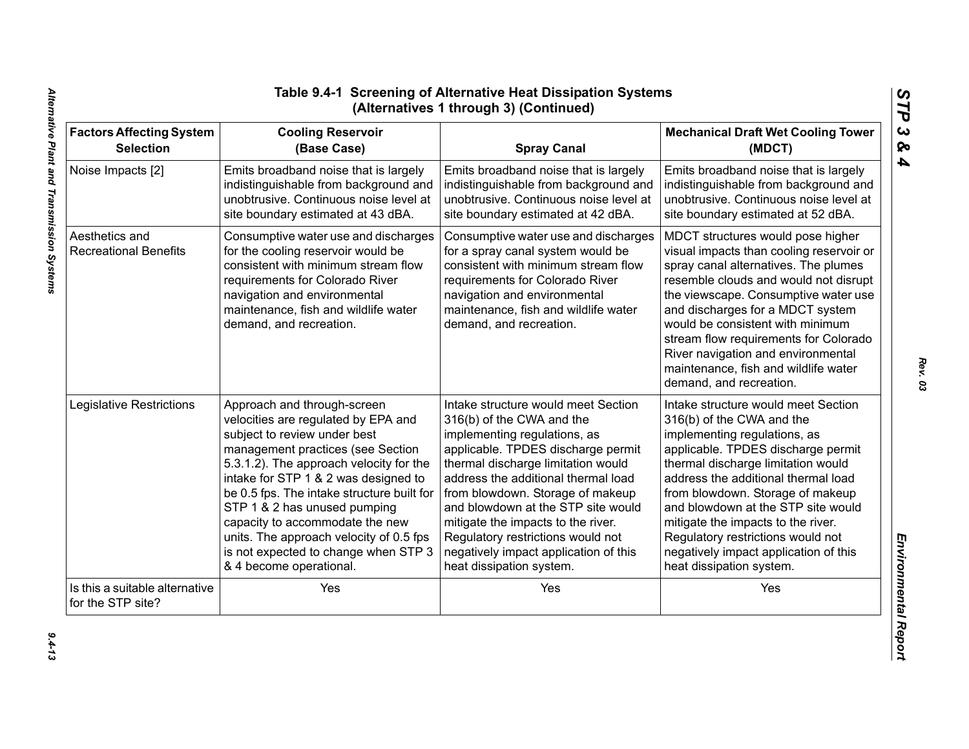| <b>Factors Affecting System</b>                     | <b>Cooling Reservoir</b>                                                                                                                                                                                                                                | <b>Spray Canal</b>                                                                                                                                                                                                                                     | <b>Mechanical Draft Wet Cooling Tower</b>                                                                                                                                                                                                                                                                                                                                                                                        |
|-----------------------------------------------------|---------------------------------------------------------------------------------------------------------------------------------------------------------------------------------------------------------------------------------------------------------|--------------------------------------------------------------------------------------------------------------------------------------------------------------------------------------------------------------------------------------------------------|----------------------------------------------------------------------------------------------------------------------------------------------------------------------------------------------------------------------------------------------------------------------------------------------------------------------------------------------------------------------------------------------------------------------------------|
| <b>Selection</b>                                    | (Base Case)                                                                                                                                                                                                                                             |                                                                                                                                                                                                                                                        | (MDCT)                                                                                                                                                                                                                                                                                                                                                                                                                           |
| Noise Impacts [2]                                   | Emits broadband noise that is largely                                                                                                                                                                                                                   | Emits broadband noise that is largely                                                                                                                                                                                                                  | Emits broadband noise that is largely                                                                                                                                                                                                                                                                                                                                                                                            |
|                                                     | indistinguishable from background and                                                                                                                                                                                                                   | indistinguishable from background and                                                                                                                                                                                                                  | indistinguishable from background and                                                                                                                                                                                                                                                                                                                                                                                            |
|                                                     | unobtrusive. Continuous noise level at                                                                                                                                                                                                                  | unobtrusive. Continuous noise level at                                                                                                                                                                                                                 | unobtrusive. Continuous noise level at                                                                                                                                                                                                                                                                                                                                                                                           |
|                                                     | site boundary estimated at 43 dBA.                                                                                                                                                                                                                      | site boundary estimated at 42 dBA.                                                                                                                                                                                                                     | site boundary estimated at 52 dBA.                                                                                                                                                                                                                                                                                                                                                                                               |
| Aesthetics and<br><b>Recreational Benefits</b>      | Consumptive water use and discharges<br>for the cooling reservoir would be<br>consistent with minimum stream flow<br>requirements for Colorado River<br>navigation and environmental<br>maintenance, fish and wildlife water<br>demand, and recreation. | Consumptive water use and discharges<br>for a spray canal system would be<br>consistent with minimum stream flow<br>requirements for Colorado River<br>navigation and environmental<br>maintenance, fish and wildlife water<br>demand, and recreation. | MDCT structures would pose higher<br>visual impacts than cooling reservoir or<br>spray canal alternatives. The plumes<br>resemble clouds and would not disrupt<br>the viewscape. Consumptive water use<br>and discharges for a MDCT system<br>would be consistent with minimum<br>stream flow requirements for Colorado<br>River navigation and environmental<br>maintenance, fish and wildlife water<br>demand, and recreation. |
| Legislative Restrictions                            | Approach and through-screen                                                                                                                                                                                                                             | Intake structure would meet Section                                                                                                                                                                                                                    | Intake structure would meet Section                                                                                                                                                                                                                                                                                                                                                                                              |
|                                                     | velocities are regulated by EPA and                                                                                                                                                                                                                     | 316(b) of the CWA and the                                                                                                                                                                                                                              | 316(b) of the CWA and the                                                                                                                                                                                                                                                                                                                                                                                                        |
|                                                     | subject to review under best                                                                                                                                                                                                                            | implementing regulations, as                                                                                                                                                                                                                           | implementing regulations, as                                                                                                                                                                                                                                                                                                                                                                                                     |
|                                                     | management practices (see Section                                                                                                                                                                                                                       | applicable. TPDES discharge permit                                                                                                                                                                                                                     | applicable. TPDES discharge permit                                                                                                                                                                                                                                                                                                                                                                                               |
|                                                     | 5.3.1.2). The approach velocity for the                                                                                                                                                                                                                 | thermal discharge limitation would                                                                                                                                                                                                                     | thermal discharge limitation would                                                                                                                                                                                                                                                                                                                                                                                               |
|                                                     | intake for STP 1 & 2 was designed to                                                                                                                                                                                                                    | address the additional thermal load                                                                                                                                                                                                                    | address the additional thermal load                                                                                                                                                                                                                                                                                                                                                                                              |
|                                                     | be 0.5 fps. The intake structure built for                                                                                                                                                                                                              | from blowdown. Storage of makeup                                                                                                                                                                                                                       | from blowdown. Storage of makeup                                                                                                                                                                                                                                                                                                                                                                                                 |
|                                                     | STP 1 & 2 has unused pumping                                                                                                                                                                                                                            | and blowdown at the STP site would                                                                                                                                                                                                                     | and blowdown at the STP site would                                                                                                                                                                                                                                                                                                                                                                                               |
|                                                     | capacity to accommodate the new                                                                                                                                                                                                                         | mitigate the impacts to the river.                                                                                                                                                                                                                     | mitigate the impacts to the river.                                                                                                                                                                                                                                                                                                                                                                                               |
|                                                     | units. The approach velocity of 0.5 fps                                                                                                                                                                                                                 | Regulatory restrictions would not                                                                                                                                                                                                                      | Regulatory restrictions would not                                                                                                                                                                                                                                                                                                                                                                                                |
|                                                     | is not expected to change when STP 3                                                                                                                                                                                                                    | negatively impact application of this                                                                                                                                                                                                                  | negatively impact application of this                                                                                                                                                                                                                                                                                                                                                                                            |
|                                                     | & 4 become operational.                                                                                                                                                                                                                                 | heat dissipation system.                                                                                                                                                                                                                               | heat dissipation system.                                                                                                                                                                                                                                                                                                                                                                                                         |
| Is this a suitable alternative<br>for the STP site? | Yes                                                                                                                                                                                                                                                     | Yes                                                                                                                                                                                                                                                    | Yes                                                                                                                                                                                                                                                                                                                                                                                                                              |

*STP 3 & 4*

 $9.4 - 13$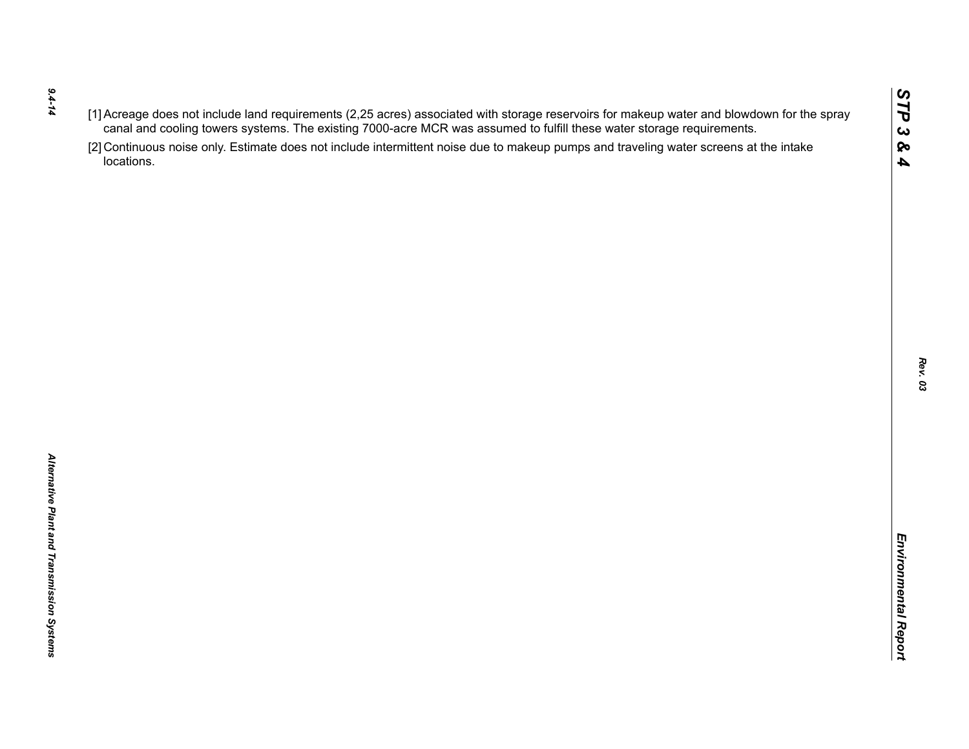- *9.4-14*
- 
- $(1)$  Accessors of the rich requirements (2.25 are once to the was assumed to furth these water storage requirements.<br>
Caroline of the control of the state of the state of the state of the state of the state of the state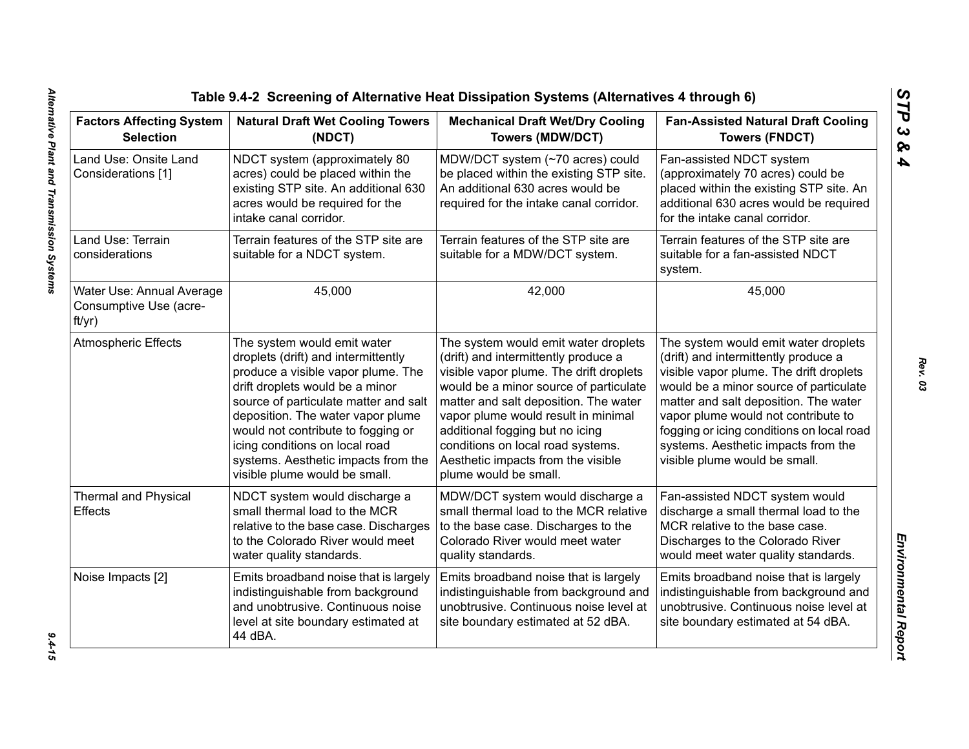| <b>Factors Affecting System</b><br><b>Selection</b>           | <b>Natural Draft Wet Cooling Towers</b><br>(NDCT)                                                                                                                                                                                                                                                                                                                         | <b>Mechanical Draft Wet/Dry Cooling</b><br><b>Towers (MDW/DCT)</b>                                                                                                                                                                                                                                                                                                                       | <b>Fan-Assisted Natural Draft Cooling</b><br><b>Towers (FNDCT)</b>                                                                                                                                                                                                                                                                                                     |
|---------------------------------------------------------------|---------------------------------------------------------------------------------------------------------------------------------------------------------------------------------------------------------------------------------------------------------------------------------------------------------------------------------------------------------------------------|------------------------------------------------------------------------------------------------------------------------------------------------------------------------------------------------------------------------------------------------------------------------------------------------------------------------------------------------------------------------------------------|------------------------------------------------------------------------------------------------------------------------------------------------------------------------------------------------------------------------------------------------------------------------------------------------------------------------------------------------------------------------|
| Land Use: Onsite Land<br>Considerations [1]                   | NDCT system (approximately 80<br>acres) could be placed within the<br>existing STP site. An additional 630<br>acres would be required for the<br>intake canal corridor.                                                                                                                                                                                                   | MDW/DCT system (~70 acres) could<br>be placed within the existing STP site.<br>An additional 630 acres would be<br>required for the intake canal corridor.                                                                                                                                                                                                                               | Fan-assisted NDCT system<br>(approximately 70 acres) could be<br>placed within the existing STP site. An<br>additional 630 acres would be required<br>for the intake canal corridor.                                                                                                                                                                                   |
| Land Use: Terrain<br>considerations                           | Terrain features of the STP site are<br>suitable for a NDCT system.                                                                                                                                                                                                                                                                                                       | Terrain features of the STP site are<br>suitable for a MDW/DCT system.                                                                                                                                                                                                                                                                                                                   | Terrain features of the STP site are<br>suitable for a fan-assisted NDCT<br>system.                                                                                                                                                                                                                                                                                    |
| Water Use: Annual Average<br>Consumptive Use (acre-<br>ft/yr) | 45,000                                                                                                                                                                                                                                                                                                                                                                    | 42,000                                                                                                                                                                                                                                                                                                                                                                                   | 45,000                                                                                                                                                                                                                                                                                                                                                                 |
| <b>Atmospheric Effects</b>                                    | The system would emit water<br>droplets (drift) and intermittently<br>produce a visible vapor plume. The<br>drift droplets would be a minor<br>source of particulate matter and salt<br>deposition. The water vapor plume<br>would not contribute to fogging or<br>icing conditions on local road<br>systems. Aesthetic impacts from the<br>visible plume would be small. | The system would emit water droplets<br>(drift) and intermittently produce a<br>visible vapor plume. The drift droplets<br>would be a minor source of particulate<br>matter and salt deposition. The water<br>vapor plume would result in minimal<br>additional fogging but no icing<br>conditions on local road systems.<br>Aesthetic impacts from the visible<br>plume would be small. | The system would emit water droplets<br>(drift) and intermittently produce a<br>visible vapor plume. The drift droplets<br>would be a minor source of particulate<br>matter and salt deposition. The water<br>vapor plume would not contribute to<br>fogging or icing conditions on local road<br>systems. Aesthetic impacts from the<br>visible plume would be small. |
| <b>Thermal and Physical</b><br>Effects                        | MDW/DCT system would discharge a<br>NDCT system would discharge a<br>small thermal load to the MCR<br>small thermal load to the MCR relative<br>relative to the base case. Discharges<br>to the base case. Discharges to the<br>to the Colorado River would meet<br>Colorado River would meet water<br>water quality standards.<br>quality standards.                     |                                                                                                                                                                                                                                                                                                                                                                                          | Fan-assisted NDCT system would<br>discharge a small thermal load to the<br>MCR relative to the base case.<br>Discharges to the Colorado River<br>would meet water quality standards.                                                                                                                                                                                   |
| Noise Impacts [2]                                             | Emits broadband noise that is largely<br>indistinguishable from background<br>and unobtrusive. Continuous noise<br>level at site boundary estimated at<br>44 dBA.                                                                                                                                                                                                         | Emits broadband noise that is largely<br>indistinguishable from background and<br>unobtrusive. Continuous noise level at<br>site boundary estimated at 52 dBA.                                                                                                                                                                                                                           | Emits broadband noise that is largely<br>indistinguishable from background and<br>unobtrusive. Continuous noise level at<br>site boundary estimated at 54 dBA.                                                                                                                                                                                                         |

*STP 3 & 4*

 $9.4 - 15$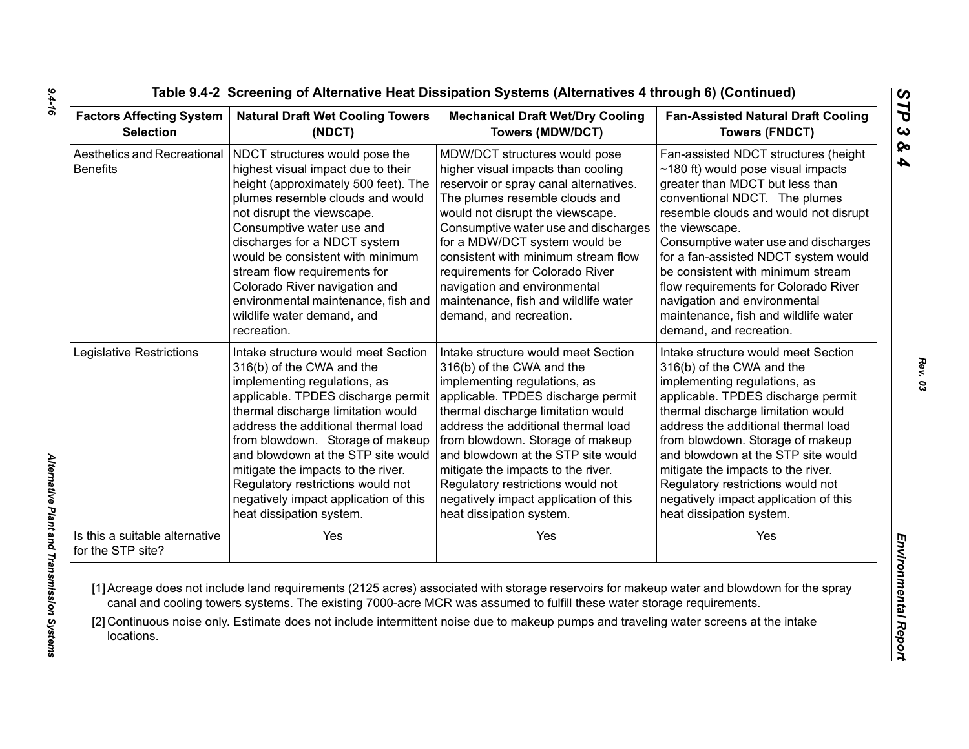| <b>Factors Affecting System</b>                     | <b>Natural Draft Wet Cooling Towers</b>                                                                                                                                                                                                                                                                                                                                                                                              | <b>Mechanical Draft Wet/Dry Cooling</b>                                                                                                                                                                                                                                                                                                                                                                                                   | <b>Fan-Assisted Natural Draft Cooling</b>                                                                                                                                                                                                                                                                                                                                                                                                                                       |  |
|-----------------------------------------------------|--------------------------------------------------------------------------------------------------------------------------------------------------------------------------------------------------------------------------------------------------------------------------------------------------------------------------------------------------------------------------------------------------------------------------------------|-------------------------------------------------------------------------------------------------------------------------------------------------------------------------------------------------------------------------------------------------------------------------------------------------------------------------------------------------------------------------------------------------------------------------------------------|---------------------------------------------------------------------------------------------------------------------------------------------------------------------------------------------------------------------------------------------------------------------------------------------------------------------------------------------------------------------------------------------------------------------------------------------------------------------------------|--|
| <b>Selection</b>                                    | (NDCT)                                                                                                                                                                                                                                                                                                                                                                                                                               | <b>Towers (MDW/DCT)</b>                                                                                                                                                                                                                                                                                                                                                                                                                   | <b>Towers (FNDCT)</b>                                                                                                                                                                                                                                                                                                                                                                                                                                                           |  |
| Aesthetics and Recreational<br><b>Benefits</b>      | NDCT structures would pose the<br>highest visual impact due to their<br>height (approximately 500 feet). The<br>plumes resemble clouds and would<br>not disrupt the viewscape.<br>Consumptive water use and<br>discharges for a NDCT system<br>would be consistent with minimum<br>stream flow requirements for<br>Colorado River navigation and<br>environmental maintenance, fish and<br>wildlife water demand, and<br>recreation. | MDW/DCT structures would pose<br>higher visual impacts than cooling<br>reservoir or spray canal alternatives.<br>The plumes resemble clouds and<br>would not disrupt the viewscape.<br>Consumptive water use and discharges<br>for a MDW/DCT system would be<br>consistent with minimum stream flow<br>requirements for Colorado River<br>navigation and environmental<br>maintenance, fish and wildlife water<br>demand, and recreation. | Fan-assisted NDCT structures (height<br>$\sim$ 180 ft) would pose visual impacts<br>greater than MDCT but less than<br>conventional NDCT. The plumes<br>resemble clouds and would not disrupt<br>the viewscape.<br>Consumptive water use and discharges<br>for a fan-assisted NDCT system would<br>be consistent with minimum stream<br>flow requirements for Colorado River<br>navigation and environmental<br>maintenance, fish and wildlife water<br>demand, and recreation. |  |
| Legislative Restrictions                            | Intake structure would meet Section                                                                                                                                                                                                                                                                                                                                                                                                  | Intake structure would meet Section                                                                                                                                                                                                                                                                                                                                                                                                       | Intake structure would meet Section                                                                                                                                                                                                                                                                                                                                                                                                                                             |  |
|                                                     | 316(b) of the CWA and the                                                                                                                                                                                                                                                                                                                                                                                                            | 316(b) of the CWA and the                                                                                                                                                                                                                                                                                                                                                                                                                 | 316(b) of the CWA and the                                                                                                                                                                                                                                                                                                                                                                                                                                                       |  |
|                                                     | implementing regulations, as                                                                                                                                                                                                                                                                                                                                                                                                         | implementing regulations, as                                                                                                                                                                                                                                                                                                                                                                                                              | implementing regulations, as                                                                                                                                                                                                                                                                                                                                                                                                                                                    |  |
|                                                     | applicable. TPDES discharge permit                                                                                                                                                                                                                                                                                                                                                                                                   | applicable. TPDES discharge permit                                                                                                                                                                                                                                                                                                                                                                                                        | applicable. TPDES discharge permit                                                                                                                                                                                                                                                                                                                                                                                                                                              |  |
|                                                     | thermal discharge limitation would                                                                                                                                                                                                                                                                                                                                                                                                   | thermal discharge limitation would                                                                                                                                                                                                                                                                                                                                                                                                        | thermal discharge limitation would                                                                                                                                                                                                                                                                                                                                                                                                                                              |  |
|                                                     | address the additional thermal load                                                                                                                                                                                                                                                                                                                                                                                                  | address the additional thermal load                                                                                                                                                                                                                                                                                                                                                                                                       | address the additional thermal load                                                                                                                                                                                                                                                                                                                                                                                                                                             |  |
|                                                     | from blowdown. Storage of makeup                                                                                                                                                                                                                                                                                                                                                                                                     | from blowdown. Storage of makeup                                                                                                                                                                                                                                                                                                                                                                                                          | from blowdown. Storage of makeup                                                                                                                                                                                                                                                                                                                                                                                                                                                |  |
|                                                     | and blowdown at the STP site would                                                                                                                                                                                                                                                                                                                                                                                                   | and blowdown at the STP site would                                                                                                                                                                                                                                                                                                                                                                                                        | and blowdown at the STP site would                                                                                                                                                                                                                                                                                                                                                                                                                                              |  |
|                                                     | mitigate the impacts to the river.                                                                                                                                                                                                                                                                                                                                                                                                   | mitigate the impacts to the river.                                                                                                                                                                                                                                                                                                                                                                                                        | mitigate the impacts to the river.                                                                                                                                                                                                                                                                                                                                                                                                                                              |  |
|                                                     | Regulatory restrictions would not                                                                                                                                                                                                                                                                                                                                                                                                    | Regulatory restrictions would not                                                                                                                                                                                                                                                                                                                                                                                                         | Regulatory restrictions would not                                                                                                                                                                                                                                                                                                                                                                                                                                               |  |
|                                                     | negatively impact application of this                                                                                                                                                                                                                                                                                                                                                                                                | negatively impact application of this                                                                                                                                                                                                                                                                                                                                                                                                     | negatively impact application of this                                                                                                                                                                                                                                                                                                                                                                                                                                           |  |
|                                                     | heat dissipation system.                                                                                                                                                                                                                                                                                                                                                                                                             | heat dissipation system.                                                                                                                                                                                                                                                                                                                                                                                                                  | heat dissipation system.                                                                                                                                                                                                                                                                                                                                                                                                                                                        |  |
| Is this a suitable alternative<br>for the STP site? | Yes                                                                                                                                                                                                                                                                                                                                                                                                                                  | Yes                                                                                                                                                                                                                                                                                                                                                                                                                                       | Yes                                                                                                                                                                                                                                                                                                                                                                                                                                                                             |  |

*9.4-16*

*Rev. 03*

*STP 3 & 4*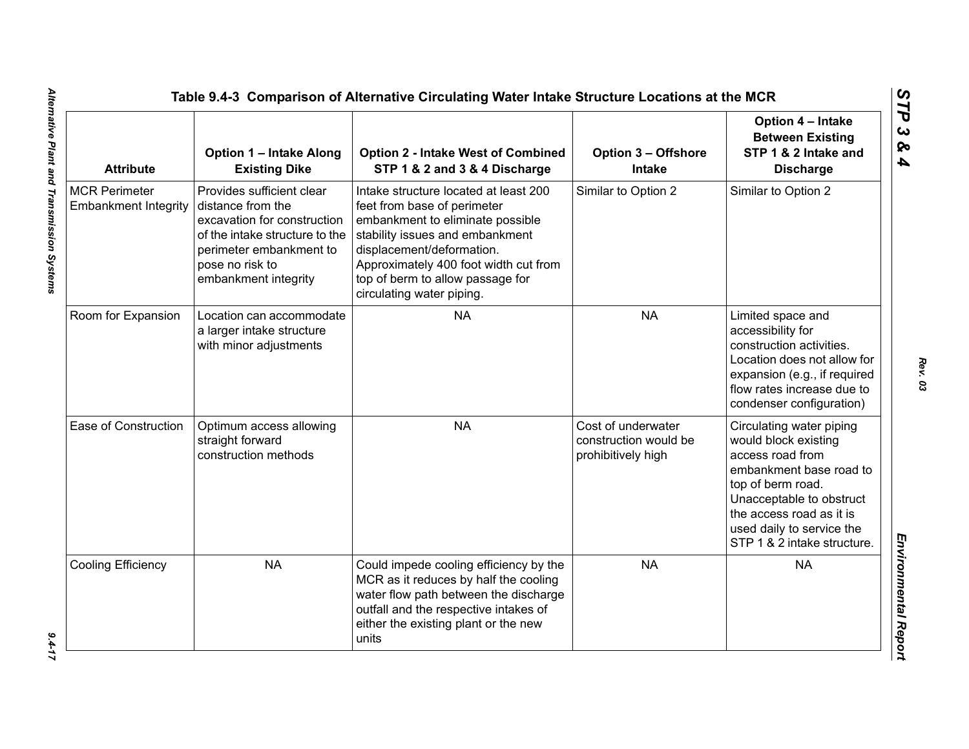| <b>Attribute</b>                                    | <b>Option 1 - Intake Along</b><br><b>Existing Dike</b>                                                                                                                                | <b>Option 2 - Intake West of Combined</b><br>STP 1 & 2 and 3 & 4 Discharge                                                                                                                                                                                                         | <b>Option 3 - Offshore</b><br><b>Intake</b>                       | Option 4 - Intake<br><b>Between Existing</b><br>STP 1 & 2 Intake and<br><b>Discharge</b>                                                                                                                                                 |
|-----------------------------------------------------|---------------------------------------------------------------------------------------------------------------------------------------------------------------------------------------|------------------------------------------------------------------------------------------------------------------------------------------------------------------------------------------------------------------------------------------------------------------------------------|-------------------------------------------------------------------|------------------------------------------------------------------------------------------------------------------------------------------------------------------------------------------------------------------------------------------|
| <b>MCR Perimeter</b><br><b>Embankment Integrity</b> | Provides sufficient clear<br>distance from the<br>excavation for construction<br>of the intake structure to the<br>perimeter embankment to<br>pose no risk to<br>embankment integrity | Intake structure located at least 200<br>feet from base of perimeter<br>embankment to eliminate possible<br>stability issues and embankment<br>displacement/deformation.<br>Approximately 400 foot width cut from<br>top of berm to allow passage for<br>circulating water piping. | Similar to Option 2                                               | Similar to Option 2                                                                                                                                                                                                                      |
| Room for Expansion                                  | Location can accommodate<br>a larger intake structure<br>with minor adjustments                                                                                                       | <b>NA</b>                                                                                                                                                                                                                                                                          | <b>NA</b>                                                         | Limited space and<br>accessibility for<br>construction activities.<br>Location does not allow for<br>expansion (e.g., if required<br>flow rates increase due to<br>condenser configuration)                                              |
| Ease of Construction                                | Optimum access allowing<br>straight forward<br>construction methods                                                                                                                   | <b>NA</b>                                                                                                                                                                                                                                                                          | Cost of underwater<br>construction would be<br>prohibitively high | Circulating water piping<br>would block existing<br>access road from<br>embankment base road to<br>top of berm road.<br>Unacceptable to obstruct<br>the access road as it is<br>used daily to service the<br>STP 1 & 2 intake structure. |
| Cooling Efficiency                                  | <b>NA</b>                                                                                                                                                                             | Could impede cooling efficiency by the<br>MCR as it reduces by half the cooling<br>water flow path between the discharge<br>outfall and the respective intakes of<br>either the existing plant or the new<br>units                                                                 | <b>NA</b>                                                         | <b>NA</b>                                                                                                                                                                                                                                |

 $9.4 - 17$